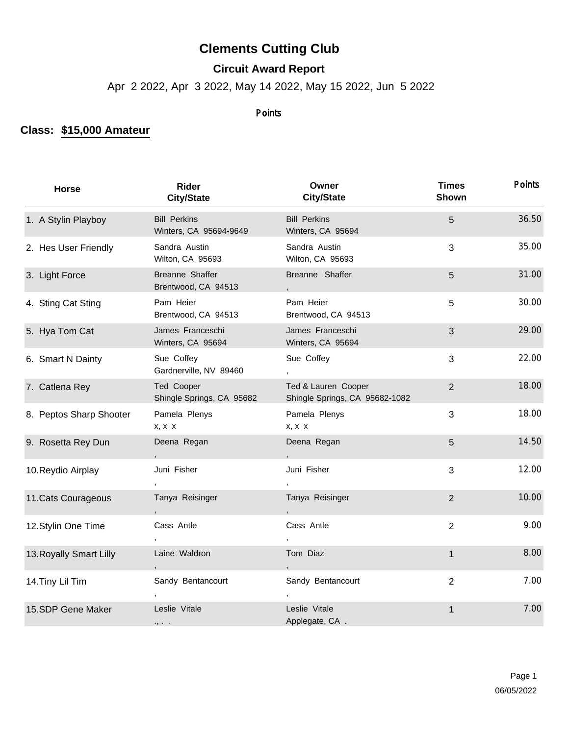## **Clements Cutting Club**

## **Circuit Award Report**

Apr 2 2022, Apr 3 2022, May 14 2022, May 15 2022, Jun 5 2022

## Points

## **Class: \$15,000 Amateur**

| <b>Horse</b>            | Rider<br><b>City/State</b>                    | Owner<br><b>City/State</b>                            | <b>Times</b><br>Shown | <b>Points</b> |
|-------------------------|-----------------------------------------------|-------------------------------------------------------|-----------------------|---------------|
| 1. A Stylin Playboy     | <b>Bill Perkins</b><br>Winters, CA 95694-9649 | <b>Bill Perkins</b><br>Winters, CA 95694              | 5                     | 36.50         |
| 2. Hes User Friendly    | Sandra Austin<br>Wilton, CA 95693             | Sandra Austin<br>Wilton, CA 95693                     | 3                     | 35.00         |
| 3. Light Force          | Breanne Shaffer<br>Brentwood, CA 94513        | Breanne Shaffer                                       | 5                     | 31.00         |
| 4. Sting Cat Sting      | Pam Heier<br>Brentwood, CA 94513              | Pam Heier<br>Brentwood, CA 94513                      | 5                     | 30.00         |
| 5. Hya Tom Cat          | James Franceschi<br>Winters, CA 95694         | James Franceschi<br>Winters, CA 95694                 | 3                     | 29.00         |
| 6. Smart N Dainty       | Sue Coffey<br>Gardnerville, NV 89460          | Sue Coffey<br>$\overline{ }$                          | 3                     | 22.00         |
| 7. Catlena Rey          | Ted Cooper<br>Shingle Springs, CA 95682       | Ted & Lauren Cooper<br>Shingle Springs, CA 95682-1082 | $\overline{2}$        | 18.00         |
| 8. Peptos Sharp Shooter | Pamela Plenys<br>x, x x                       | Pamela Plenys<br>x, x x                               | 3                     | 18.00         |
| 9. Rosetta Rey Dun      | Deena Regan                                   | Deena Regan                                           | 5                     | 14.50         |
| 10. Reydio Airplay      | Juni Fisher                                   | Juni Fisher                                           | 3                     | 12.00         |
| 11. Cats Courageous     | Tanya Reisinger                               | Tanya Reisinger                                       | $\overline{2}$        | 10.00         |
| 12. Stylin One Time     | Cass Antle                                    | Cass Antle                                            | $\overline{2}$        | 9.00          |
| 13. Royally Smart Lilly | Laine Waldron                                 | Tom Diaz                                              | $\mathbf{1}$          | 8.00          |
| 14. Tiny Lil Tim        | Sandy Bentancourt                             | Sandy Bentancourt                                     | $\overline{2}$        | 7.00          |
| 15.SDP Gene Maker       | Leslie Vitale<br>$\cdot$ ,                    | Leslie Vitale<br>Applegate, CA.                       | 1                     | 7.00          |